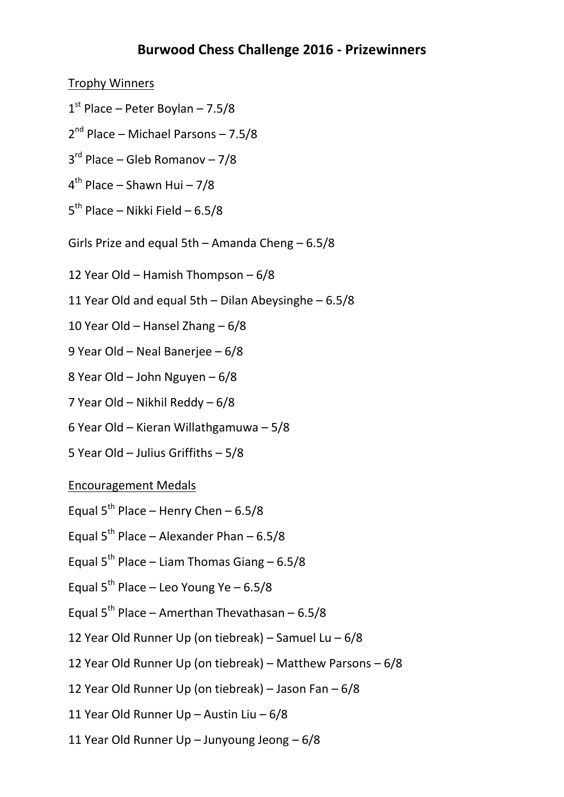## **Burwood Chess Challenge 2016 - Prizewinners**

Trophy Winners

- 1 st Place Peter Boylan 7.5/8
- 2 nd Place Michael Parsons 7.5/8
- 3 rd Place Gleb Romanov 7/8
- 4 th Place Shawn Hui 7/8
- 5<sup>th</sup> Place Nikki Field 6.5/8
- Girls Prize and equal 5th Amanda Cheng 6.5/8
- 12 Year Old Hamish Thompson 6/8
- 11 Year Old and equal 5th Dilan Abeysinghe 6.5/8
- 10 Year Old Hansel Zhang 6/8
- 9 Year Old Neal Banerjee 6/8
- 8 Year Old John Nguyen 6/8
- 7 Year Old Nikhil Reddy 6/8
- 6 Year Old Kieran Willathgamuwa 5/8
- 5 Year Old Julius Griffiths 5/8

## Encouragement Medals

- Equal  $5^{th}$  Place Henry Chen 6.5/8
- Equal  $5^{th}$  Place Alexander Phan 6.5/8
- Equal  $5^{th}$  Place Liam Thomas Giang 6.5/8
- Equal  $5^{th}$  Place Leo Young Ye 6.5/8
- Equal 5<sup>th</sup> Place Amerthan Thevathasan 6.5/8
- 12 Year Old Runner Up (on tiebreak) Samuel Lu 6/8
- 12 Year Old Runner Up (on tiebreak) Matthew Parsons 6/8
- 12 Year Old Runner Up (on tiebreak) Jason Fan 6/8
- 11 Year Old Runner Up Austin Liu 6/8
- 11 Year Old Runner Up Junyoung Jeong 6/8